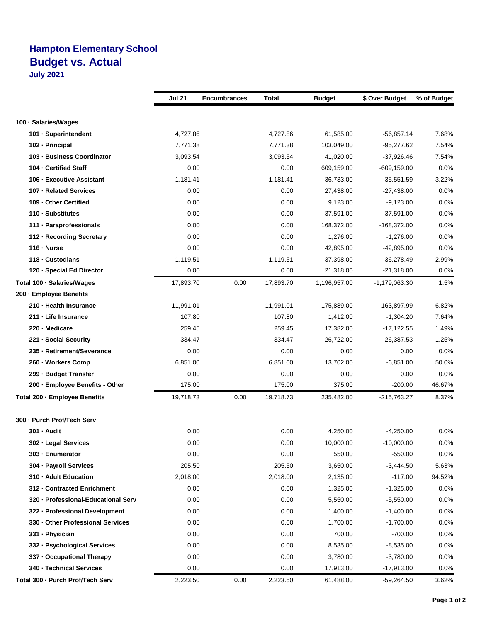## **Hampton Elementary School Budget vs. Actual**

**July 2021**

|                                     | <b>Jul 21</b> | <b>Encumbrances</b> | Total     | <b>Budget</b> | \$ Over Budget  | % of Budget |
|-------------------------------------|---------------|---------------------|-----------|---------------|-----------------|-------------|
|                                     |               |                     |           |               |                 |             |
| 100 · Salaries/Wages                |               |                     |           |               |                 |             |
| 101 · Superintendent                | 4,727.86      |                     | 4,727.86  | 61,585.00     | $-56,857.14$    | 7.68%       |
| 102 - Principal                     | 7,771.38      |                     | 7,771.38  | 103,049.00    | $-95,277.62$    | 7.54%       |
| 103 - Business Coordinator          | 3,093.54      |                     | 3,093.54  | 41,020.00     | $-37,926.46$    | 7.54%       |
| 104 - Certified Staff               | 0.00          |                     | 0.00      | 609,159.00    | $-609, 159.00$  | 0.0%        |
| 106 - Executive Assistant           | 1,181.41      |                     | 1,181.41  | 36,733.00     | $-35,551.59$    | 3.22%       |
| 107 - Related Services              | 0.00          |                     | 0.00      | 27,438.00     | $-27,438.00$    | 0.0%        |
| 109 - Other Certified               | 0.00          |                     | 0.00      | 9,123.00      | $-9,123.00$     | 0.0%        |
| 110 · Substitutes                   | 0.00          |                     | 0.00      | 37,591.00     | $-37,591.00$    | 0.0%        |
| 111 · Paraprofessionals             | 0.00          |                     | 0.00      | 168,372.00    | $-168,372.00$   | 0.0%        |
| 112 · Recording Secretary           | 0.00          |                     | 0.00      | 1,276.00      | $-1,276.00$     | 0.0%        |
| $116 \cdot$ Nurse                   | 0.00          |                     | 0.00      | 42,895.00     | $-42,895.00$    | 0.0%        |
| 118 - Custodians                    | 1,119.51      |                     | 1,119.51  | 37,398.00     | $-36,278.49$    | 2.99%       |
| 120 - Special Ed Director           | 0.00          |                     | 0.00      | 21,318.00     | $-21,318.00$    | 0.0%        |
| Total 100 · Salaries/Wages          | 17,893.70     | 0.00                | 17,893.70 | 1,196,957.00  | $-1,179,063.30$ | 1.5%        |
| 200 - Employee Benefits             |               |                     |           |               |                 |             |
| 210 - Health Insurance              | 11,991.01     |                     | 11,991.01 | 175,889.00    | $-163,897.99$   | 6.82%       |
| 211 - Life Insurance                | 107.80        |                     | 107.80    | 1,412.00      | $-1,304.20$     | 7.64%       |
| 220 - Medicare                      | 259.45        |                     | 259.45    | 17,382.00     | $-17,122.55$    | 1.49%       |
| 221 - Social Security               | 334.47        |                     | 334.47    | 26,722.00     | $-26,387.53$    | 1.25%       |
| 235 - Retirement/Severance          | 0.00          |                     | 0.00      | 0.00          | 0.00            | 0.0%        |
| 260 - Workers Comp                  | 6,851.00      |                     | 6,851.00  | 13,702.00     | $-6,851.00$     | 50.0%       |
| 299 - Budget Transfer               | 0.00          |                     | 0.00      | 0.00          | 0.00            | $0.0\%$     |
| 200 - Employee Benefits - Other     | 175.00        |                     | 175.00    | 375.00        | $-200.00$       | 46.67%      |
| Total 200 - Employee Benefits       | 19,718.73     | 0.00                | 19,718.73 | 235,482.00    | -215,763.27     | 8.37%       |
| 300 - Purch Prof/Tech Serv          |               |                     |           |               |                 |             |
| 301 - Audit                         | 0.00          |                     | 0.00      | 4,250.00      | $-4,250.00$     | 0.0%        |
| 302 - Legal Services                | 0.00          |                     | 0.00      | 10,000.00     | $-10,000.00$    | $0.0\%$     |
| 303 - Enumerator                    | 0.00          |                     | 0.00      | 550.00        | $-550.00$       | 0.0%        |
| 304 - Payroll Services              | 205.50        |                     | 205.50    | 3,650.00      | $-3,444.50$     | 5.63%       |
| 310 · Adult Education               | 2,018.00      |                     | 2,018.00  | 2,135.00      | $-117.00$       | 94.52%      |
| 312 - Contracted Enrichment         | 0.00          |                     | 0.00      | 1,325.00      | $-1,325.00$     | 0.0%        |
| 320 - Professional-Educational Serv | 0.00          |                     | 0.00      | 5,550.00      | $-5,550.00$     | 0.0%        |
| 322 - Professional Development      | 0.00          |                     | 0.00      | 1,400.00      | $-1,400.00$     | 0.0%        |
| 330 - Other Professional Services   | 0.00          |                     | 0.00      | 1,700.00      | $-1,700.00$     | 0.0%        |
| 331 - Physician                     | 0.00          |                     | 0.00      | 700.00        | $-700.00$       | 0.0%        |
| 332 - Psychological Services        | 0.00          |                     | 0.00      | 8,535.00      | $-8,535.00$     | 0.0%        |
| 337 - Occupational Therapy          | 0.00          |                     | 0.00      | 3,780.00      | $-3,780.00$     | 0.0%        |
| 340 - Technical Services            | 0.00          |                     | 0.00      | 17,913.00     | $-17,913.00$    | 0.0%        |
| Total 300 - Purch Prof/Tech Serv    | 2,223.50      | 0.00                | 2,223.50  | 61,488.00     | $-59,264.50$    | 3.62%       |
|                                     |               |                     |           |               |                 |             |